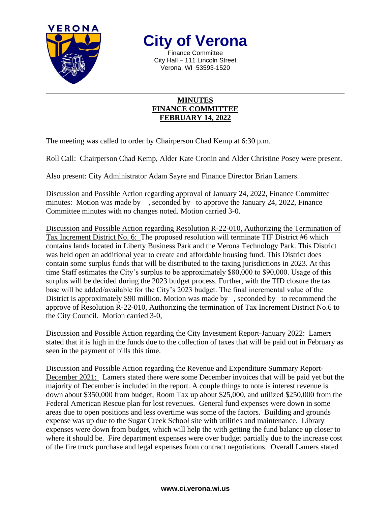

**City of Verona**

Finance Committee City Hall – 111 Lincoln Street Verona, WI 53593-1520

## **MINUTES FINANCE COMMITTEE FEBRUARY 14, 2022**

The meeting was called to order by Chairperson Chad Kemp at 6:30 p.m.

Roll Call: Chairperson Chad Kemp, Alder Kate Cronin and Alder Christine Posey were present.

Also present: City Administrator Adam Sayre and Finance Director Brian Lamers.

Discussion and Possible Action regarding approval of January 24, 2022, Finance Committee minutes: Motion was made by, seconded by to approve the January 24, 2022, Finance Committee minutes with no changes noted. Motion carried 3-0.

Discussion and Possible Action regarding Resolution R-22-010, Authorizing the Termination of Tax Increment District No. 6: The proposed resolution will terminate TIF District #6 which contains lands located in Liberty Business Park and the Verona Technology Park. This District was held open an additional year to create and affordable housing fund. This District does contain some surplus funds that will be distributed to the taxing jurisdictions in 2023. At this time Staff estimates the City's surplus to be approximately \$80,000 to \$90,000. Usage of this surplus will be decided during the 2023 budget process. Further, with the TID closure the tax base will be added/available for the City's 2023 budget. The final incremental value of the District is approximately \$90 million. Motion was made by , seconded by to recommend the approve of Resolution R-22-010, Authorizing the termination of Tax Increment District No.6 to the City Council. Motion carried 3-0,

Discussion and Possible Action regarding the City Investment Report-January 2022: Lamers stated that it is high in the funds due to the collection of taxes that will be paid out in February as seen in the payment of bills this time.

Discussion and Possible Action regarding the Revenue and Expenditure Summary Report-December 2021: Lamers stated there were some December invoices that will be paid yet but the majority of December is included in the report. A couple things to note is interest revenue is down about \$350,000 from budget, Room Tax up about \$25,000, and utilized \$250,000 from the Federal American Rescue plan for lost revenues. General fund expenses were down in some areas due to open positions and less overtime was some of the factors. Building and grounds expense was up due to the Sugar Creek School site with utilities and maintenance. Library expenses were down from budget, which will help the with getting the fund balance up closer to where it should be. Fire department expenses were over budget partially due to the increase cost of the fire truck purchase and legal expenses from contract negotiations. Overall Lamers stated